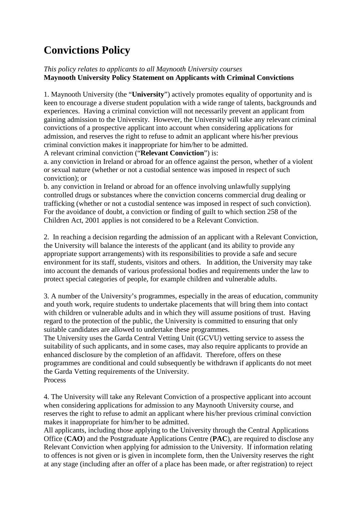## **Convictions Policy**

## *This policy relates to applicants to all Maynooth University courses* **Maynooth University Policy Statement on Applicants with Criminal Convictions**

1. Maynooth University (the "**University**") actively promotes equality of opportunity and is keen to encourage a diverse student population with a wide range of talents, backgrounds and experiences. Having a criminal conviction will not necessarily prevent an applicant from gaining admission to the University. However, the University will take any relevant criminal convictions of a prospective applicant into account when considering applications for admission, and reserves the right to refuse to admit an applicant where his/her previous criminal conviction makes it inappropriate for him/her to be admitted.

A relevant criminal conviction ("**Relevant Conviction**") is:

a. any conviction in Ireland or abroad for an offence against the person, whether of a violent or sexual nature (whether or not a custodial sentence was imposed in respect of such conviction); or

b. any conviction in Ireland or abroad for an offence involving unlawfully supplying controlled drugs or substances where the conviction concerns commercial drug dealing or trafficking (whether or not a custodial sentence was imposed in respect of such conviction). For the avoidance of doubt, a conviction or finding of guilt to which section 258 of the Children Act, 2001 applies is not considered to be a Relevant Conviction.

2. In reaching a decision regarding the admission of an applicant with a Relevant Conviction, the University will balance the interests of the applicant (and its ability to provide any appropriate support arrangements) with its responsibilities to provide a safe and secure environment for its staff, students, visitors and others. In addition, the University may take into account the demands of various professional bodies and requirements under the law to protect special categories of people, for example children and vulnerable adults.

3. A number of the University's programmes, especially in the areas of education, community and youth work, require students to undertake placements that will bring them into contact with children or vulnerable adults and in which they will assume positions of trust. Having regard to the protection of the public, the University is committed to ensuring that only suitable candidates are allowed to undertake these programmes.

The University uses the Garda Central Vetting Unit (GCVU) vetting service to assess the suitability of such applicants, and in some cases, may also require applicants to provide an enhanced disclosure by the completion of an affidavit. Therefore, offers on these programmes are conditional and could subsequently be withdrawn if applicants do not meet the Garda Vetting requirements of the University. Process

4. The University will take any Relevant Conviction of a prospective applicant into account when considering applications for admission to any Maynooth University course, and reserves the right to refuse to admit an applicant where his/her previous criminal conviction makes it inappropriate for him/her to be admitted.

All applicants, including those applying to the University through the Central Applications Office (**CAO**) and the Postgraduate Applications Centre (**PAC**), are required to disclose any Relevant Conviction when applying for admission to the University. If information relating to offences is not given or is given in incomplete form, then the University reserves the right at any stage (including after an offer of a place has been made, or after registration) to reject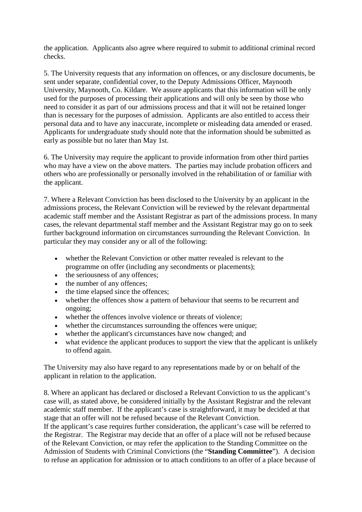the application. Applicants also agree where required to submit to additional criminal record checks.

5. The University requests that any information on offences, or any disclosure documents, be sent under separate, confidential cover, to the Deputy Admissions Officer, Maynooth University, Maynooth, Co. Kildare. We assure applicants that this information will be only used for the purposes of processing their applications and will only be seen by those who need to consider it as part of our admissions process and that it will not be retained longer than is necessary for the purposes of admission. Applicants are also entitled to access their personal data and to have any inaccurate, incomplete or misleading data amended or erased. Applicants for undergraduate study should note that the information should be submitted as early as possible but no later than May 1st.

6. The University may require the applicant to provide information from other third parties who may have a view on the above matters. The parties may include probation officers and others who are professionally or personally involved in the rehabilitation of or familiar with the applicant.

7. Where a Relevant Conviction has been disclosed to the University by an applicant in the admissions process, the Relevant Conviction will be reviewed by the relevant departmental academic staff member and the Assistant Registrar as part of the admissions process. In many cases, the relevant departmental staff member and the Assistant Registrar may go on to seek further background information on circumstances surrounding the Relevant Conviction. In particular they may consider any or all of the following:

- whether the Relevant Conviction or other matter revealed is relevant to the programme on offer (including any secondments or placements);
- the seriousness of any offences;
- the number of any offences:
- the time elapsed since the offences;
- whether the offences show a pattern of behaviour that seems to be recurrent and ongoing;
- whether the offences involve violence or threats of violence:
- whether the circumstances surrounding the offences were unique;
- whether the applicant's circumstances have now changed; and
- what evidence the applicant produces to support the view that the applicant is unlikely to offend again.

The University may also have regard to any representations made by or on behalf of the applicant in relation to the application.

8. Where an applicant has declared or disclosed a Relevant Conviction to us the applicant's case will, as stated above, be considered initially by the Assistant Registrar and the relevant academic staff member. If the applicant's case is straightforward, it may be decided at that stage that an offer will not be refused because of the Relevant Conviction.

If the applicant's case requires further consideration, the applicant's case will be referred to the Registrar. The Registrar may decide that an offer of a place will not be refused because of the Relevant Conviction, or may refer the application to the Standing Committee on the Admission of Students with Criminal Convictions (the "**Standing Committee**"). A decision to refuse an application for admission or to attach conditions to an offer of a place because of